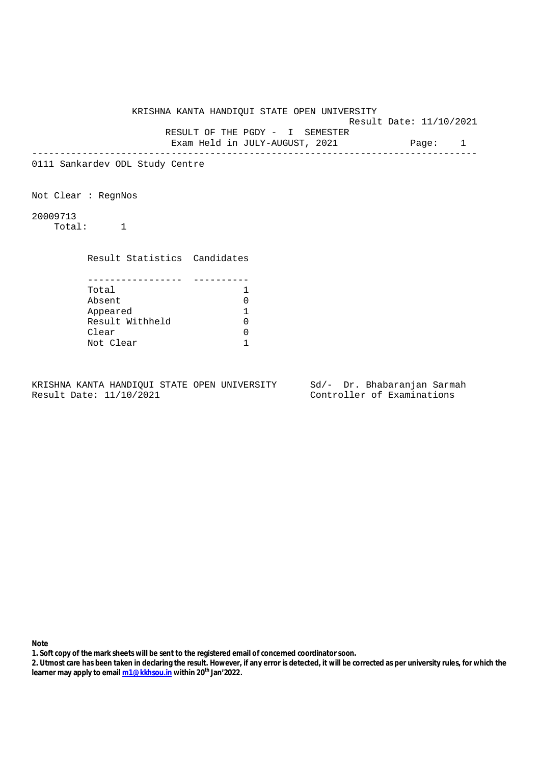Result Date: 11/10/2021

RESULT OF THE PGDY - I SEMESTER

Exam Held in JULY-AUGUST, 2021 Page: 1 --------------------------------------------------------------------------------

0111 Sankardev ODL Study Centre

Not Clear : RegnNos

20009713 Total: 1

Result Statistics Candidates

| Total           |  |
|-----------------|--|
| Absent          |  |
| Appeared        |  |
| Result Withheld |  |
| Clear           |  |
| Not Clear       |  |

KRISHNA KANTA HANDIQUI STATE OPEN UNIVERSITY Sd/- Dr. Bhabaranjan Sarmah Result Date: 11/10/2021 Controller of Examinations

- **1. Soft copy of the mark sheets will be sent to the registered email of concerned coordinator soon.**
- **2. Utmost care has been taken in declaring the result. However, if any error is detected, it will be corrected as per university rules, for which the learner may apply to email m1@kkhsou.in within 20th Jan'2022.**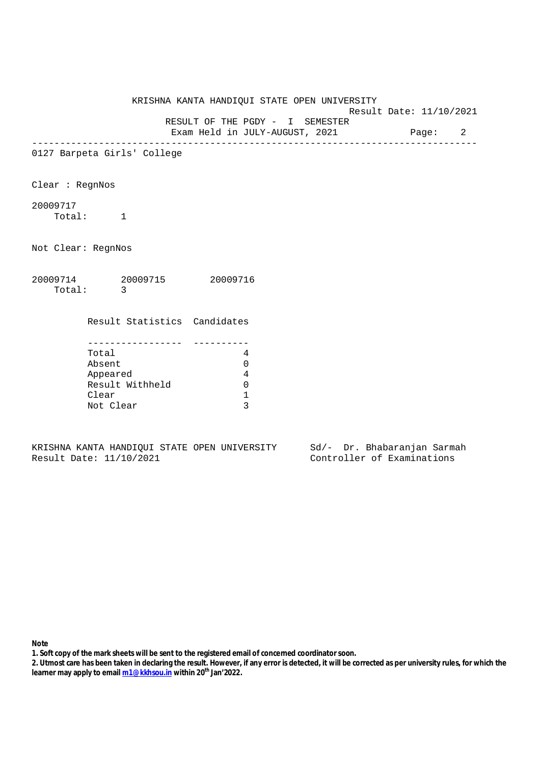KRISHNA KANTA HANDIQUI STATE OPEN UNIVERSITY Result Date: 11/10/2021 RESULT OF THE PGDY - I SEMESTER Exam Held in JULY-AUGUST, 2021 Page: 2 -------------------------------------------------------------------------------- 0127 Barpeta Girls' College Clear : RegnNos 20009717 Total: 1 Not Clear: RegnNos 20009714 20009715 20009716 Total: 3 Result Statistics Candidates ----------------- ---------- Total 4 Absent 0 Appeared 4 Result Withheld 0 Clear 1 Not Clear 3

KRISHNA KANTA HANDIQUI STATE OPEN UNIVERSITY Sd/- Dr. Bhabaranjan Sarmah<br>Result Date: 11/10/2021 Controller of Examinations

Controller of Examinations

- **1. Soft copy of the mark sheets will be sent to the registered email of concerned coordinator soon.**
- **2. Utmost care has been taken in declaring the result. However, if any error is detected, it will be corrected as per university rules, for which the learner may apply to email m1@kkhsou.in within 20th Jan'2022.**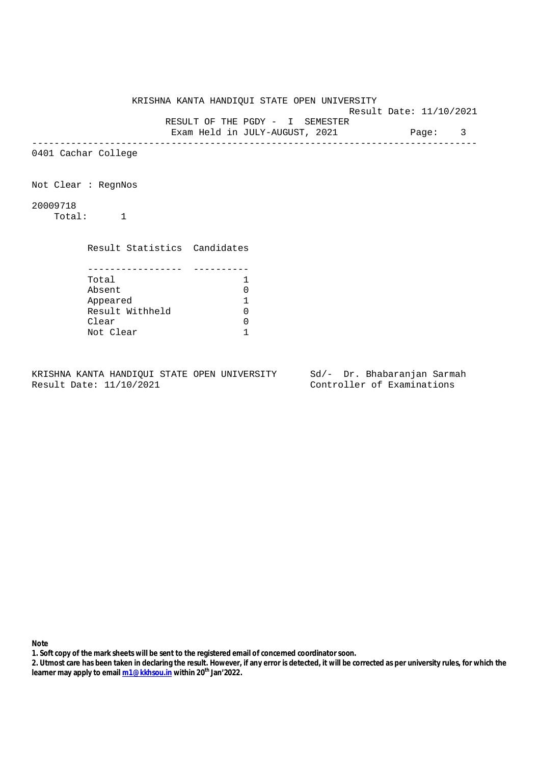KRISHNA KANTA HANDIQUI STATE OPEN UNIVERSITY Result Date: 11/10/2021 RESULT OF THE PGDY - I SEMESTER Exam Held in JULY-AUGUST, 2021 Page: 3 -------------------------------------------------------------------------------- 0401 Cachar College Not Clear : RegnNos 20009718 Total: 1 Result Statistics Candidates ----------------- ---------- Total 1 Absent 0 Appeared 1 Result Withheld 0 Clear 0 Not Clear 1

KRISHNA KANTA HANDIQUI STATE OPEN UNIVERSITY Sd/- Dr. Bhabaranjan Sarmah Result Date: 11/10/2021 Controller of Examinations

- **1. Soft copy of the mark sheets will be sent to the registered email of concerned coordinator soon.**
- **2. Utmost care has been taken in declaring the result. However, if any error is detected, it will be corrected as per university rules, for which the learner may apply to email m1@kkhsou.in within 20th Jan'2022.**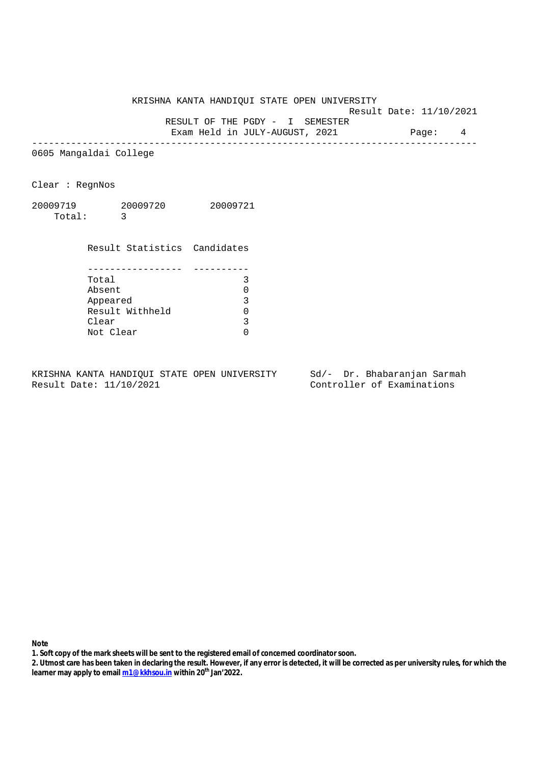Result Date: 11/10/2021

RESULT OF THE PGDY - I SEMESTER

Exam Held in JULY-AUGUST, 2021 Page: 4 --------------------------------------------------------------------------------

0605 Mangaldai College

Clear : RegnNos

20009719 20009720 20009721 Total: 3

 Result Statistics Candidates ----------------- ---------- Total 3 Absent 0 Appeared 3 Appeared 3<br>Result Withheld 0 Clear 3 Not Clear 0

KRISHNA KANTA HANDIQUI STATE OPEN UNIVERSITY Sd/- Dr. Bhabaranjan Sarmah Result Date: 11/10/2021 Controller of Examinations

- **1. Soft copy of the mark sheets will be sent to the registered email of concerned coordinator soon.**
- **2. Utmost care has been taken in declaring the result. However, if any error is detected, it will be corrected as per university rules, for which the learner may apply to email m1@kkhsou.in within 20th Jan'2022.**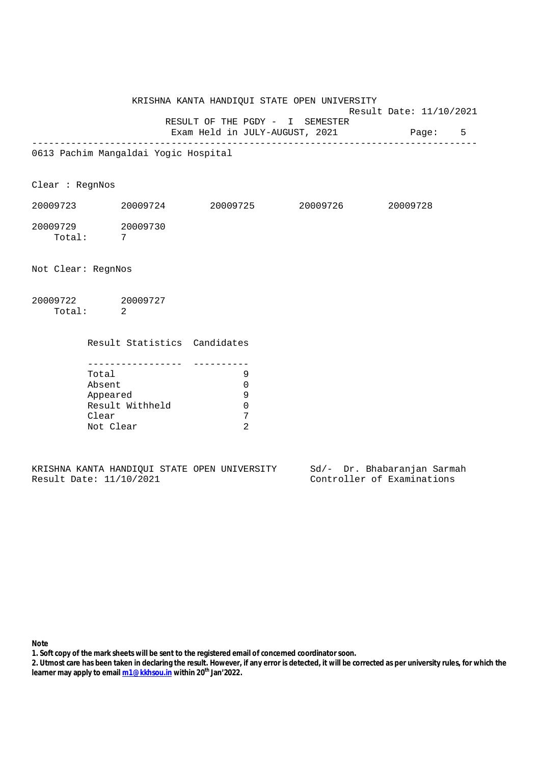KRISHNA KANTA HANDIQUI STATE OPEN UNIVERSITY Result Date: 11/10/2021

 RESULT OF THE PGDY - I SEMESTER Exam Held in JULY-AUGUST, 2021 Page: 5

--------------------------------------------------------------------------------

0613 Pachim Mangaldai Yogic Hospital

Clear : RegnNos

| 20009723 | 20009724 | 20009725 | 20009726 | 20009728 |
|----------|----------|----------|----------|----------|
| 20009729 | 20009730 |          |          |          |
| Total:   |          |          |          |          |

Not Clear: RegnNos

| 20009722 | 20009727 |
|----------|----------|
| Total:   |          |

Result Statistics Candidates

| Total           |  |
|-----------------|--|
| Absent          |  |
| Appeared        |  |
| Result Withheld |  |
| Clear           |  |
| Not Clear       |  |

|  |                         |  | KRISHNA KANTA HANDIOUI STATE OPEN UNIVERSITY |  |  | Sd/- Dr. Bhabaranjan Sarmah |  |
|--|-------------------------|--|----------------------------------------------|--|--|-----------------------------|--|
|  | Result Date: 11/10/2021 |  |                                              |  |  | Controller of Examinations  |  |

**Note** 

**1. Soft copy of the mark sheets will be sent to the registered email of concerned coordinator soon.**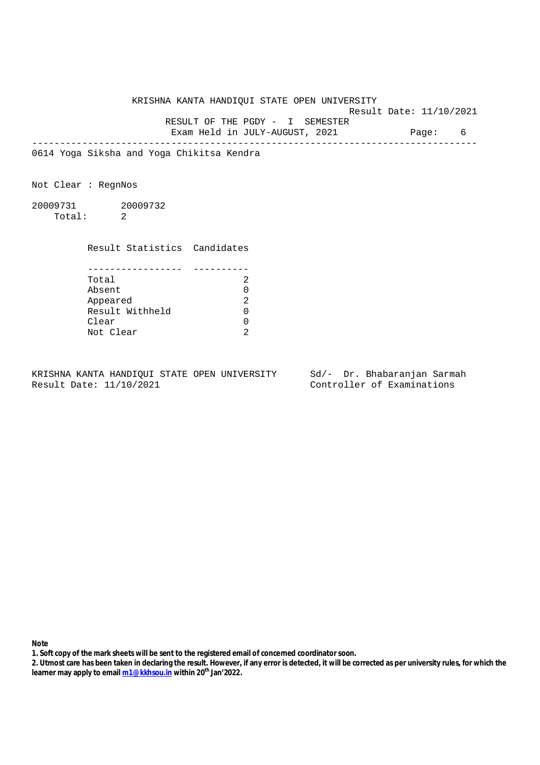KRISHNA KANTA HANDIQUI STATE OPEN UNIVERSITY Result Date: 11/10/2021 RESULT OF THE PGDY - I SEMESTER Exam Held in JULY-AUGUST, 2021 Page: 6

--------------------------------------------------------------------------------

0614 Yoga Siksha and Yoga Chikitsa Kendra

Not Clear : RegnNos

20009731 20009732 Total: 2

Result Statistics Candidates

| Total           |  |
|-----------------|--|
| Absent          |  |
| Appeared        |  |
| Result Withheld |  |
| Clear           |  |
| Not Clear       |  |

KRISHNA KANTA HANDIQUI STATE OPEN UNIVERSITY Sd/- Dr. Bhabaranjan Sarmah Result Date: 11/10/2021 Controller of Examinations

- **1. Soft copy of the mark sheets will be sent to the registered email of concerned coordinator soon.**
- **2. Utmost care has been taken in declaring the result. However, if any error is detected, it will be corrected as per university rules, for which the learner may apply to email m1@kkhsou.in within 20th Jan'2022.**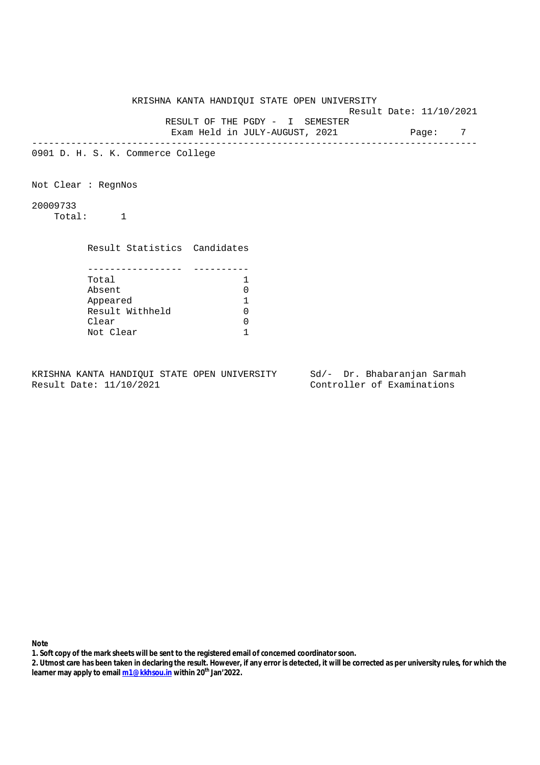KRISHNA KANTA HANDIQUI STATE OPEN UNIVERSITY Result Date: 11/10/2021 RESULT OF THE PGDY - I SEMESTER Exam Held in JULY-AUGUST, 2021 Page: 7 -------------------------------------------------------------------------------- 0901 D. H. S. K. Commerce College Not Clear : RegnNos 20009733 Total: 1 Result Statistics Candidates ----------------- ---------- Total 1 Absent 0 Appeared 1 Result Withheld 0 Clear 0 Not Clear 1

KRISHNA KANTA HANDIQUI STATE OPEN UNIVERSITY Sd/- Dr. Bhabaranjan Sarmah Result Date: 11/10/2021 Controller of Examinations

- **1. Soft copy of the mark sheets will be sent to the registered email of concerned coordinator soon.**
- **2. Utmost care has been taken in declaring the result. However, if any error is detected, it will be corrected as per university rules, for which the learner may apply to email m1@kkhsou.in within 20th Jan'2022.**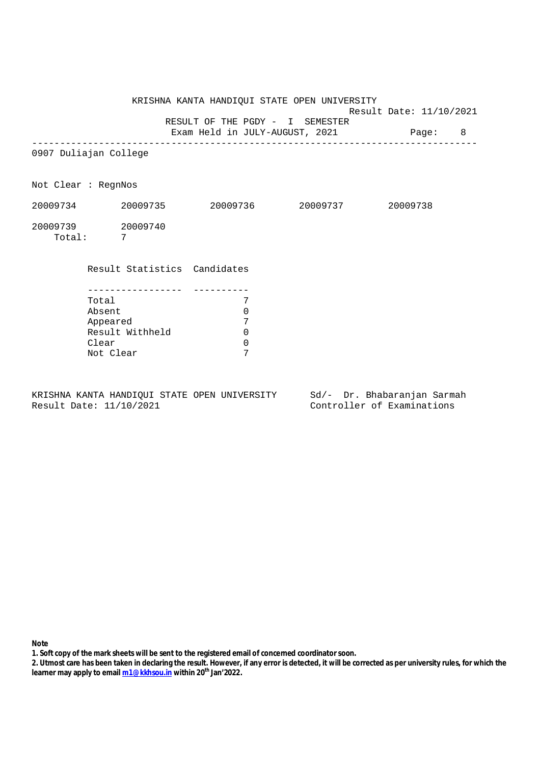Result Date: 11/10/2021

 RESULT OF THE PGDY - I SEMESTER Exam Held in JULY-AUGUST, 2021 Page: 8

--------------------------------------------------------------------------------

0907 Duliajan College

Not Clear : RegnNos

| 20009734           | 20009735 | 20009736 | 20009737 | 20009738 |
|--------------------|----------|----------|----------|----------|
| 20009739<br>Total: | 20009740 |          |          |          |

## Result Statistics Candidates

| Total           |  |
|-----------------|--|
| Absent          |  |
| Appeared        |  |
| Result Withheld |  |
| Clear           |  |
| Not Clear       |  |

KRISHNA KANTA HANDIQUI STATE OPEN UNIVERSITY Sd/- Dr. Bhabaranjan Sarmah Result Date: 11/10/2021 Controller of Examinations

- **1. Soft copy of the mark sheets will be sent to the registered email of concerned coordinator soon.**
- **2. Utmost care has been taken in declaring the result. However, if any error is detected, it will be corrected as per university rules, for which the learner may apply to email m1@kkhsou.in within 20th Jan'2022.**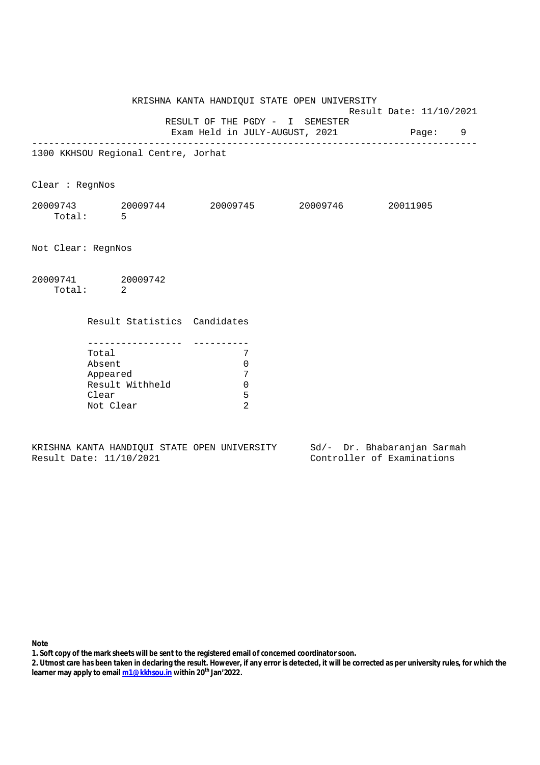KRISHNA KANTA HANDIQUI STATE OPEN UNIVERSITY Result Date: 11/10/2021 RESULT OF THE PGDY - I SEMESTER Exam Held in JULY-AUGUST, 2021 Page: 9 -------------------------------------------------------------------------------- 1300 KKHSOU Regional Centre, Jorhat Clear : RegnNos 20009743 20009744 20009745 20009746 20011905 Total: 5 Not Clear: RegnNos 20009741 20009742 Total: 2 Result Statistics Candidates ----------------- ---------- Total 7 Absent 0 Appeared 7 Result Withheld 0 Clear 5 Not Clear 2

KRISHNA KANTA HANDIQUI STATE OPEN UNIVERSITY Sd/- Dr. Bhabaranjan Sarmah Result Date: 11/10/2021 Controller of Examinations

- **1. Soft copy of the mark sheets will be sent to the registered email of concerned coordinator soon.**
- **2. Utmost care has been taken in declaring the result. However, if any error is detected, it will be corrected as per university rules, for which the learner may apply to email m1@kkhsou.in within 20th Jan'2022.**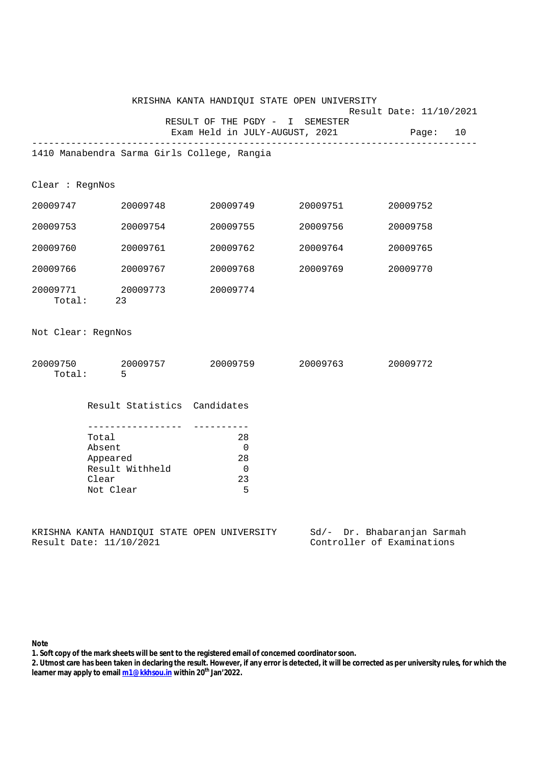| KRISHNA KANTA HANDIQUI STATE OPEN UNIVERSITY<br>Result Date: 11/10/2021 |                                                                                                                                      |                                                                             |          |                                         |  |
|-------------------------------------------------------------------------|--------------------------------------------------------------------------------------------------------------------------------------|-----------------------------------------------------------------------------|----------|-----------------------------------------|--|
|                                                                         |                                                                                                                                      | RESULT OF THE PGDY - I SEMESTER                                             |          | Exam Held in JULY-AUGUST, 2021 Page: 10 |  |
|                                                                         | 1410 Manabendra Sarma Girls College, Rangia                                                                                          |                                                                             |          |                                         |  |
| Clear : RegnNos                                                         |                                                                                                                                      |                                                                             |          |                                         |  |
|                                                                         | 20009747 20009748                                                                                                                    | 20009749                                                                    | 20009751 | 20009752                                |  |
| 20009753                                                                | 20009754                                                                                                                             | 20009755                                                                    | 20009756 | 20009758                                |  |
| 20009760                                                                | 20009761                                                                                                                             | 20009762                                                                    | 20009764 | 20009765                                |  |
|                                                                         | 20009766 20009767                                                                                                                    | 20009768                                                                    | 20009769 | 20009770                                |  |
|                                                                         | 20009771 20009773<br>Total: 23                                                                                                       | 20009774                                                                    |          |                                         |  |
| Not Clear: RegnNos                                                      |                                                                                                                                      |                                                                             |          |                                         |  |
|                                                                         | 20009750 20009757 20009759 20009763<br>Total: 5                                                                                      |                                                                             |          | 20009772                                |  |
|                                                                         | Result Statistics Candidates                                                                                                         |                                                                             |          |                                         |  |
|                                                                         | -----------------<br>Total<br>Absent<br>Appeared<br>Result Withheld<br>Clear<br>Not Clear                                            | 28<br>$\overline{\phantom{0}}$<br>28<br>$\overline{\phantom{0}}$<br>23<br>5 |          |                                         |  |
|                                                                         | Sd/- Dr. Bhabaranjan Sarmah<br>KRISHNA KANTA HANDIQUI STATE OPEN UNIVERSITY<br>Controller of Examinations<br>Result Date: 11/10/2021 |                                                                             |          |                                         |  |

**Note** 

**1. Soft copy of the mark sheets will be sent to the registered email of concerned coordinator soon.**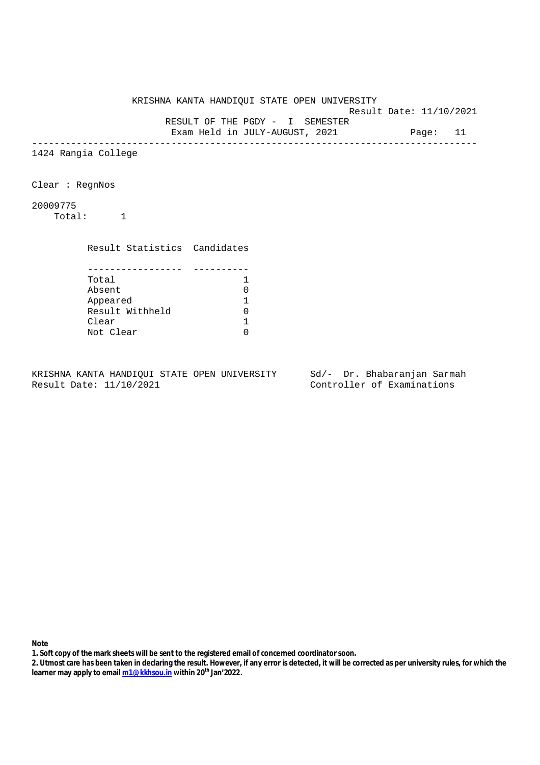KRISHNA KANTA HANDIQUI STATE OPEN UNIVERSITY Result Date: 11/10/2021 RESULT OF THE PGDY - I SEMESTER Exam Held in JULY-AUGUST, 2021 Page: 11 -------------------------------------------------------------------------------- 1424 Rangia College Clear : RegnNos 20009775 Total: 1 Result Statistics Candidates ----------------- ---------- Total 1<br>Absent 0 Absent 0 Appeared 1 Appeared 1<br>Result Withheld 0<br>Clear 1 Clear

KRISHNA KANTA HANDIQUI STATE OPEN UNIVERSITY Sd/- Dr. Bhabaranjan Sarmah Result Date: 11/10/2021 Controller of Examinations

Not Clear 0

- **1. Soft copy of the mark sheets will be sent to the registered email of concerned coordinator soon.**
- **2. Utmost care has been taken in declaring the result. However, if any error is detected, it will be corrected as per university rules, for which the learner may apply to email m1@kkhsou.in within 20th Jan'2022.**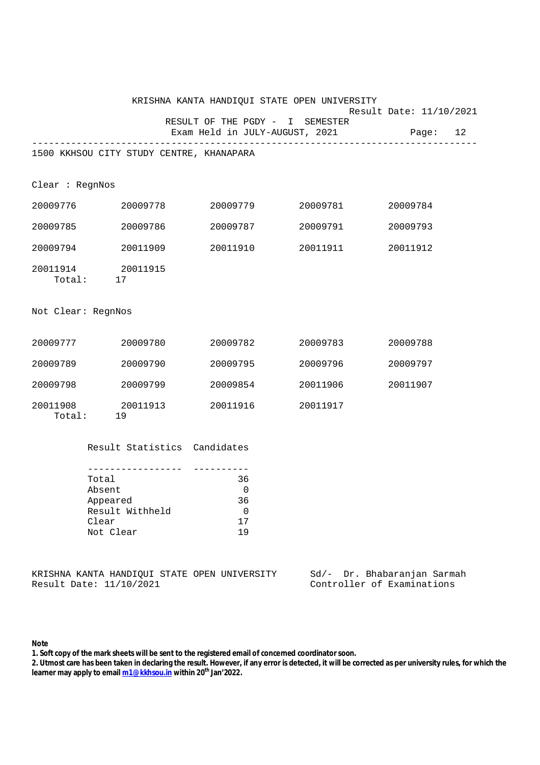|                    |                                                                          |                                                                                                                                                                                                                                                                                                                                                                           | KRISHNA KANTA HANDIQUI STATE OPEN UNIVERSITY | Result Date: 11/10/2021 |  |
|--------------------|--------------------------------------------------------------------------|---------------------------------------------------------------------------------------------------------------------------------------------------------------------------------------------------------------------------------------------------------------------------------------------------------------------------------------------------------------------------|----------------------------------------------|-------------------------|--|
|                    |                                                                          | RESULT OF THE PGDY - I SEMESTER<br>Exam Held in JULY-AUGUST, 2021                                                                                                                                                                                                                                                                                                         |                                              | Page: 12                |  |
|                    | ____________________________<br>1500 KKHSOU CITY STUDY CENTRE, KHANAPARA |                                                                                                                                                                                                                                                                                                                                                                           |                                              |                         |  |
| Clear : RegnNos    |                                                                          |                                                                                                                                                                                                                                                                                                                                                                           |                                              |                         |  |
| 20009776           | 20009778                                                                 | 20009779                                                                                                                                                                                                                                                                                                                                                                  | 20009781                                     | 20009784                |  |
| 20009785           | 20009786                                                                 | 20009787                                                                                                                                                                                                                                                                                                                                                                  | 20009791                                     | 20009793                |  |
| 20009794           | 20011909                                                                 | 20011910                                                                                                                                                                                                                                                                                                                                                                  | 20011911                                     | 20011912                |  |
|                    | 20011914 20011915<br>Total: 17                                           |                                                                                                                                                                                                                                                                                                                                                                           |                                              |                         |  |
| Not Clear: RegnNos |                                                                          |                                                                                                                                                                                                                                                                                                                                                                           |                                              |                         |  |
| 20009777           | 20009780                                                                 | 20009782                                                                                                                                                                                                                                                                                                                                                                  | 20009783                                     | 20009788                |  |
| 20009789           | 20009790                                                                 | 20009795                                                                                                                                                                                                                                                                                                                                                                  | 20009796                                     | 20009797                |  |
| 20009798           | 20009799                                                                 | 20009854                                                                                                                                                                                                                                                                                                                                                                  | 20011906                                     | 20011907                |  |
| 20011908           | 20011913<br>Total: 19                                                    | 20011916                                                                                                                                                                                                                                                                                                                                                                  | 20011917                                     |                         |  |
|                    | Result Statistics Candidates                                             |                                                                                                                                                                                                                                                                                                                                                                           |                                              |                         |  |
|                    | Total<br>Absent<br>Appeared<br>Result Withheld<br>Clear<br>Not Clear     | 36<br>$\overline{a}$ and $\overline{a}$ and $\overline{a}$ and $\overline{a}$ and $\overline{a}$ and $\overline{a}$ and $\overline{a}$ and $\overline{a}$ and $\overline{a}$ and $\overline{a}$ and $\overline{a}$ and $\overline{a}$ and $\overline{a}$ and $\overline{a}$ and $\overline{a}$ and $\overline{a}$ and $\overline{a}$ and<br>36<br>$\mathbf 0$<br>17<br>19 |                                              |                         |  |

KRISHNA KANTA HANDIQUI STATE OPEN UNIVERSITY Sd/- Dr. Bhabaranjan Sarmah<br>Result Date: 11/10/2021 Controller of Examinations

Controller of Examinations

## **Note**

**1. Soft copy of the mark sheets will be sent to the registered email of concerned coordinator soon.**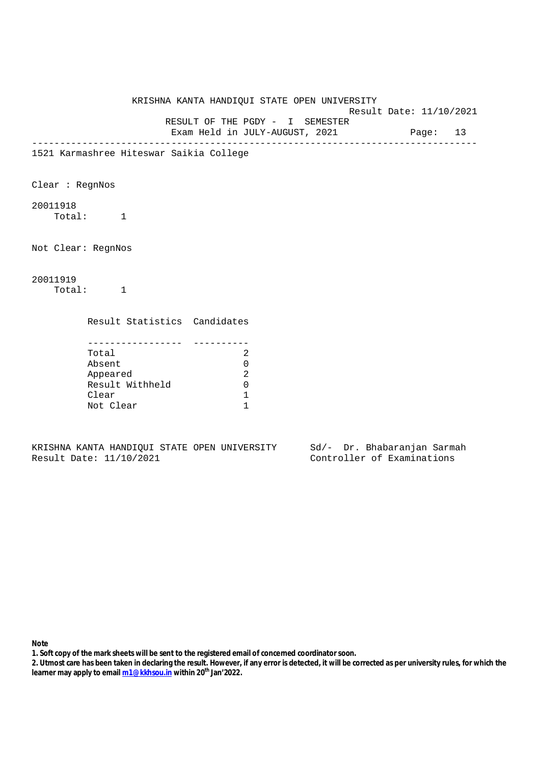KRISHNA KANTA HANDIQUI STATE OPEN UNIVERSITY Result Date: 11/10/2021 RESULT OF THE PGDY - I SEMESTER Exam Held in JULY-AUGUST, 2021 Page: 13 -------------------------------------------------------------------------------- 1521 Karmashree Hiteswar Saikia College Clear : RegnNos 20011918 Total: 1 Not Clear: RegnNos 20011919 Total: 1 Result Statistics Candidates ----------------- ---------- Total 2 Absent 0 Appeared 2 Result Withheld 0 Clear 1 Not Clear 1

KRISHNA KANTA HANDIQUI STATE OPEN UNIVERSITY Sd/- Dr. Bhabaranjan Sarmah<br>Result Date: 11/10/2021 Controller of Examinations

Controller of Examinations

- **1. Soft copy of the mark sheets will be sent to the registered email of concerned coordinator soon.**
- **2. Utmost care has been taken in declaring the result. However, if any error is detected, it will be corrected as per university rules, for which the learner may apply to email m1@kkhsou.in within 20th Jan'2022.**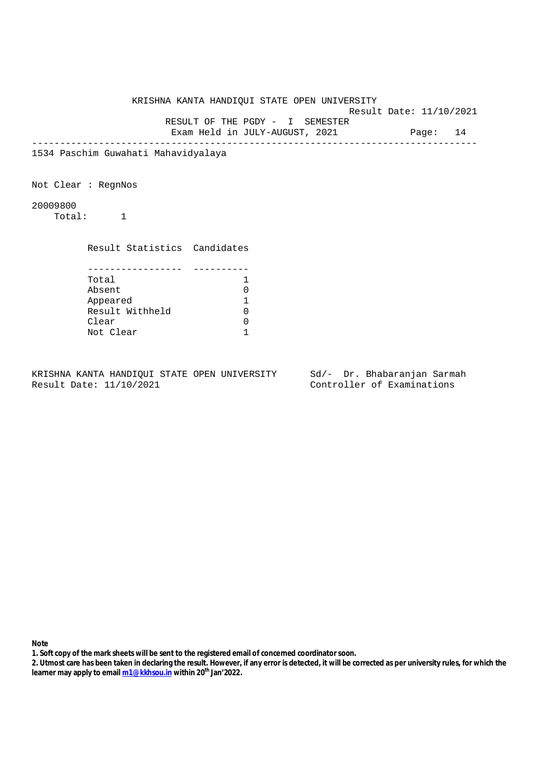KRISHNA KANTA HANDIQUI STATE OPEN UNIVERSITY Result Date: 11/10/2021 RESULT OF THE PGDY - I SEMESTER Exam Held in JULY-AUGUST, 2021 Page: 14 -------------------------------------------------------------------------------- 1534 Paschim Guwahati Mahavidyalaya Not Clear : RegnNos 20009800 Total: 1 Result Statistics Candidates ----------------- ---------- Total 1 Absent 0 Appeared 1 Result Withheld 0 Clear 0 Not Clear 1

KRISHNA KANTA HANDIQUI STATE OPEN UNIVERSITY Sd/- Dr. Bhabaranjan Sarmah Result Date: 11/10/2021 Controller of Examinations

- **1. Soft copy of the mark sheets will be sent to the registered email of concerned coordinator soon.**
- **2. Utmost care has been taken in declaring the result. However, if any error is detected, it will be corrected as per university rules, for which the learner may apply to email m1@kkhsou.in within 20th Jan'2022.**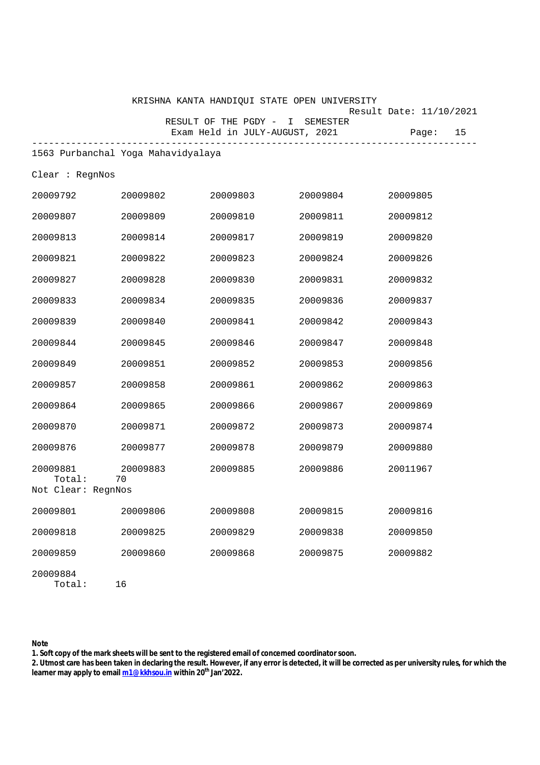|                    |                                    | KRISHNA KANTA HANDIQUI STATE OPEN UNIVERSITY                      |          |                                        |
|--------------------|------------------------------------|-------------------------------------------------------------------|----------|----------------------------------------|
|                    |                                    | RESULT OF THE PGDY - I SEMESTER<br>Exam Held in JULY-AUGUST, 2021 |          | Result Date: 11/10/2021<br>15<br>Page: |
|                    | 1563 Purbanchal Yoga Mahavidyalaya |                                                                   |          |                                        |
| Clear : RegnNos    |                                    |                                                                   |          |                                        |
| 20009792           | 20009802                           | 20009803                                                          | 20009804 | 20009805                               |
| 20009807           | 20009809                           | 20009810                                                          | 20009811 | 20009812                               |
| 20009813           | 20009814                           | 20009817                                                          | 20009819 | 20009820                               |
| 20009821           | 20009822                           | 20009823                                                          | 20009824 | 20009826                               |
| 20009827           | 20009828                           | 20009830                                                          | 20009831 | 20009832                               |
| 20009833           | 20009834                           | 20009835                                                          | 20009836 | 20009837                               |
| 20009839           | 20009840                           | 20009841                                                          | 20009842 | 20009843                               |
| 20009844           | 20009845                           | 20009846                                                          | 20009847 | 20009848                               |
| 20009849           | 20009851                           | 20009852                                                          | 20009853 | 20009856                               |
| 20009857           | 20009858                           | 20009861                                                          | 20009862 | 20009863                               |
| 20009864           | 20009865                           | 20009866                                                          | 20009867 | 20009869                               |
| 20009870           | 20009871                           | 20009872                                                          | 20009873 | 20009874                               |
| 20009876           | 20009877                           | 20009878                                                          | 20009879 | 20009880                               |
| 20009881<br>Total: | 20009883<br>70                     | 20009885                                                          | 20009886 | 20011967                               |
| Not Clear: RegnNos |                                    |                                                                   |          |                                        |
| 20009801           | 20009806                           | 20009808                                                          | 20009815 | 20009816                               |
| 20009818           | 20009825                           | 20009829                                                          | 20009838 | 20009850                               |
| 20009859           | 20009860                           | 20009868                                                          | 20009875 | 20009882                               |
| 20009884<br>Total: | 16                                 |                                                                   |          |                                        |

**Note** 

**1. Soft copy of the mark sheets will be sent to the registered email of concerned coordinator soon.**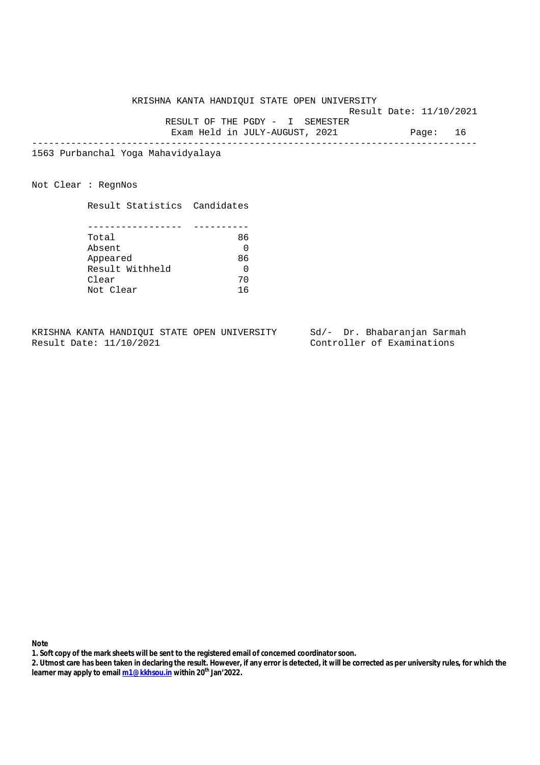Result Date: 11/10/2021

 RESULT OF THE PGDY - I SEMESTER Exam Held in JULY-AUGUST, 2021 Page: 16

--------------------------------------------------------------------------------

1563 Purbanchal Yoga Mahavidyalaya

Not Clear : RegnNos

Result Statistics Candidates

| Total           | 86 |
|-----------------|----|
| Absent          |    |
| Appeared        | 86 |
| Result Withheld |    |
| Clear           | 70 |
| Not Clear       |    |

KRISHNA KANTA HANDIQUI STATE OPEN UNIVERSITY Sd/- Dr. Bhabaranjan Sarmah<br>Result Date: 11/10/2021 Controller of Examinations

Controller of Examinations

- **1. Soft copy of the mark sheets will be sent to the registered email of concerned coordinator soon.**
- **2. Utmost care has been taken in declaring the result. However, if any error is detected, it will be corrected as per university rules, for which the learner may apply to email m1@kkhsou.in within 20th Jan'2022.**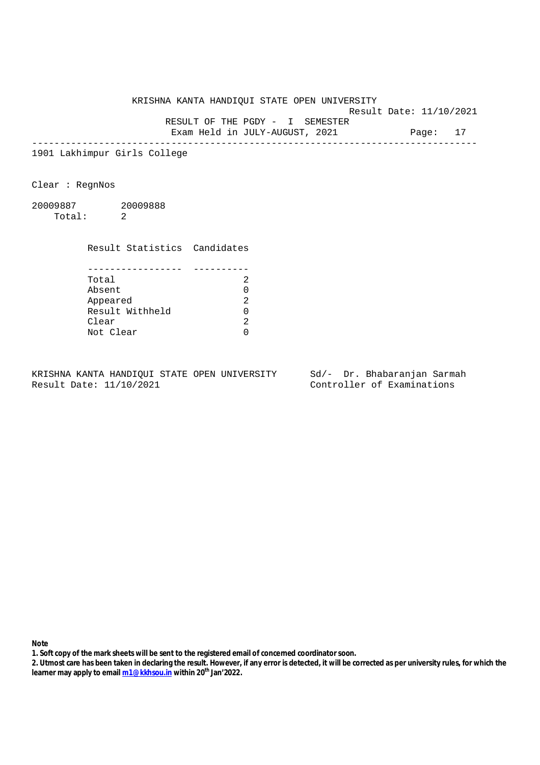Result Date: 11/10/2021

 RESULT OF THE PGDY - I SEMESTER Exam Held in JULY-AUGUST, 2021 Page: 17

--------------------------------------------------------------------------------

1901 Lakhimpur Girls College

Clear : RegnNos

20009887 20009888 Total: 2

> Result Statistics Candidates ----------------- ----------

| Total           |  |
|-----------------|--|
| Absent          |  |
| Appeared        |  |
| Result Withheld |  |
| Clear           |  |
| Not Clear       |  |

KRISHNA KANTA HANDIQUI STATE OPEN UNIVERSITY Sd/- Dr. Bhabaranjan Sarmah Result Date: 11/10/2021 Controller of Examinations

**Note** 

**1. Soft copy of the mark sheets will be sent to the registered email of concerned coordinator soon.**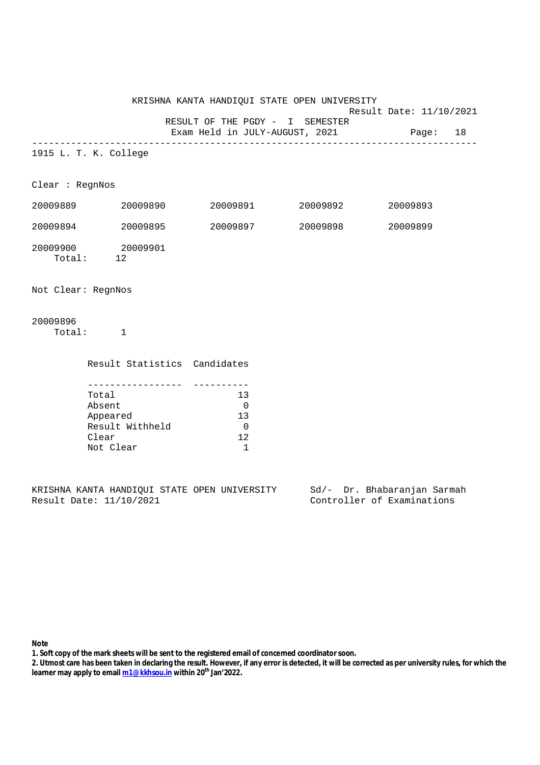Result Date: 11/10/2021

 RESULT OF THE PGDY - I SEMESTER Exam Held in JULY-AUGUST, 2021 Page: 18

--------------------------------------------------------------------------------

1915 L. T. K. College

Clear : RegnNos

| 20009889           | 20009890       | 20009891 | 20009892 | 20009893 |
|--------------------|----------------|----------|----------|----------|
| 20009894           | 20009895       | 20009897 | 20009898 | 20009899 |
| 20009900<br>Total: | 20009901<br>12 |          |          |          |

Not Clear: RegnNos

20009896 Total: 1

| Result Statistics Candidates |    |
|------------------------------|----|
|                              |    |
| Total                        | 13 |
| Absent                       |    |
| Appeared                     | 13 |
| Result Withheld              |    |
| Clear                        | 12 |
| Not Clear                    |    |

KRISHNA KANTA HANDIQUI STATE OPEN UNIVERSITY Sd/- Dr. Bhabaranjan Sarmah Result Date: 11/10/2021 Controller of Examinations

**Note** 

**1. Soft copy of the mark sheets will be sent to the registered email of concerned coordinator soon.**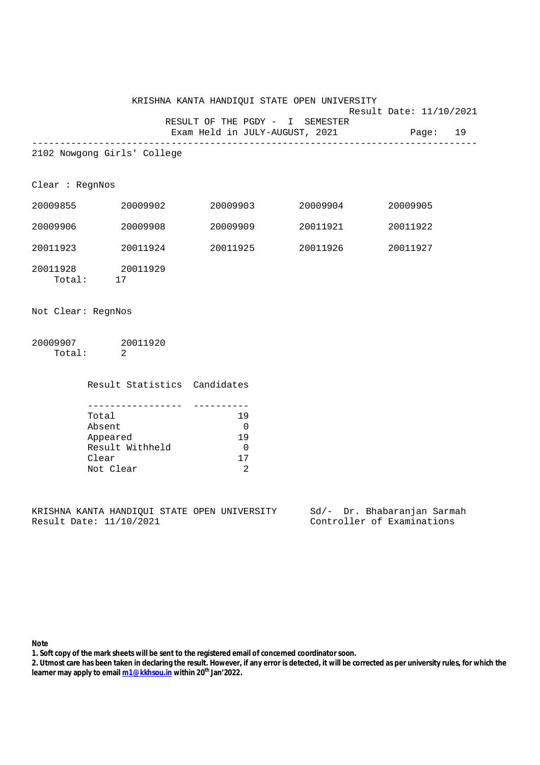| KRISHNA KANTA HANDIOUI STATE OPEN UNIVERSITY |                         |  |
|----------------------------------------------|-------------------------|--|
|                                              | Result Date: 11/10/2021 |  |
| RESULT OF THE PGDY - I SEMESTER              |                         |  |
| Exam Held in JULY-AUGUST, 2021               | Page: 19                |  |

--------------------------------------------------------------------------------

2102 Nowgong Girls' College

Clear : RegnNos

| 20009855           | 20009902       | 20009903 | 20009904 | 20009905 |
|--------------------|----------------|----------|----------|----------|
| 20009906           | 20009908       | 20009909 | 20011921 | 20011922 |
| 20011923           | 20011924       | 20011925 | 20011926 | 20011927 |
| 20011928<br>Total: | 20011929<br>17 |          |          |          |

Not Clear: RegnNos

20009907 20011920 Total: 2

Result Statistics Candidates

| Total           | 19  |
|-----------------|-----|
| Absent          |     |
| Appeared        | 1 Q |
| Result Withheld |     |
| Clear           | 17  |
| Not Clear       |     |

KRISHNA KANTA HANDIQUI STATE OPEN UNIVERSITY Sd/- Dr. Bhabaranjan Sarmah<br>Result Date: 11/10/2021 Controller of Examinations

Controller of Examinations

**Note** 

**1. Soft copy of the mark sheets will be sent to the registered email of concerned coordinator soon.**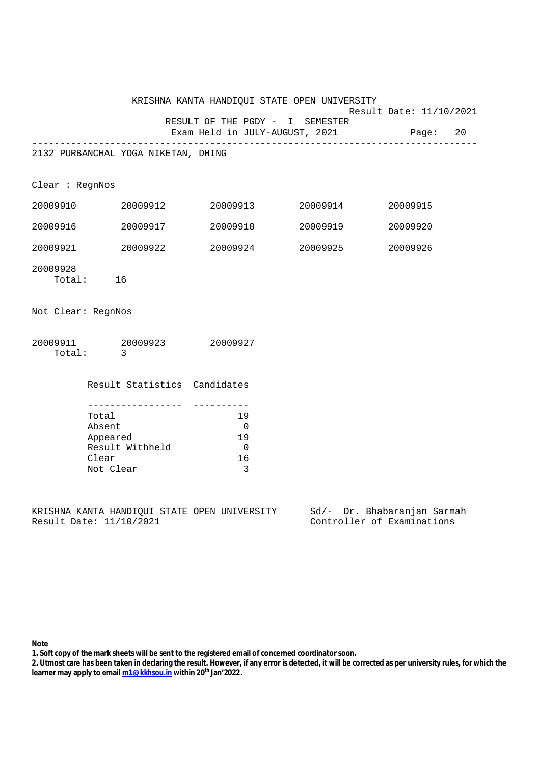|                    |                                                                      |                   | KRISHNA KANTA HANDIQUI STATE OPEN UNIVERSITY                               |                   |                         |  |
|--------------------|----------------------------------------------------------------------|-------------------|----------------------------------------------------------------------------|-------------------|-------------------------|--|
|                    |                                                                      |                   | RESULT OF THE PGDY - I SEMESTER<br>Exam Held in JULY-AUGUST, 2021 Page: 20 |                   | Result Date: 11/10/2021 |  |
|                    | 2132 PURBANCHAL YOGA NIKETAN, DHING                                  |                   |                                                                            |                   |                         |  |
|                    |                                                                      |                   |                                                                            |                   |                         |  |
| Clear : RegnNos    |                                                                      |                   |                                                                            |                   |                         |  |
|                    | 20009910 20009912                                                    |                   |                                                                            | 20009913 20009914 | 20009915                |  |
|                    | 20009916 20009917                                                    |                   |                                                                            | 20009918 20009919 | 20009920                |  |
|                    | 20009921 20009922                                                    |                   |                                                                            | 20009924 20009925 | 20009926                |  |
| 20009928           | Total: 16                                                            |                   |                                                                            |                   |                         |  |
| Not Clear: RegnNos |                                                                      |                   |                                                                            |                   |                         |  |
| Total:             | $\overline{\mathbf{3}}$                                              |                   | 20009911 20009923 20009927                                                 |                   |                         |  |
|                    |                                                                      |                   | Result Statistics Candidates                                               |                   |                         |  |
|                    | Total<br>Absent<br>Appeared<br>Result Withheld<br>Clear<br>Not Clear | _________________ | 19<br>$\overline{0}$<br>19<br>$\overline{0}$<br>16<br>3                    |                   |                         |  |

KRISHNA KANTA HANDIQUI STATE OPEN UNIVERSITY Sd/- Dr. Bhabaranjan Sarmah<br>Result Date: 11/10/2021 Controller of Examinations

Controller of Examinations

## **Note**

**1. Soft copy of the mark sheets will be sent to the registered email of concerned coordinator soon.**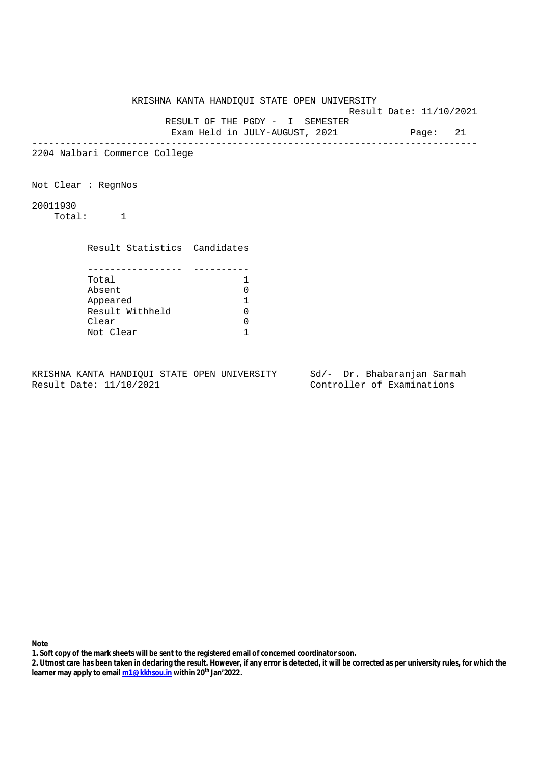KRISHNA KANTA HANDIQUI STATE OPEN UNIVERSITY Result Date: 11/10/2021 RESULT OF THE PGDY - I SEMESTER Exam Held in JULY-AUGUST, 2021 Page: 21 -------------------------------------------------------------------------------- 2204 Nalbari Commerce College Not Clear : RegnNos 20011930 Total: 1 Result Statistics Candidates ----------------- ---------- Total 1 Absent 0 Appeared 1 Result Withheld 0 Clear 0 Not Clear 1

KRISHNA KANTA HANDIQUI STATE OPEN UNIVERSITY Sd/- Dr. Bhabaranjan Sarmah Result Date: 11/10/2021 Controller of Examinations

- **1. Soft copy of the mark sheets will be sent to the registered email of concerned coordinator soon.**
- **2. Utmost care has been taken in declaring the result. However, if any error is detected, it will be corrected as per university rules, for which the learner may apply to email m1@kkhsou.in within 20th Jan'2022.**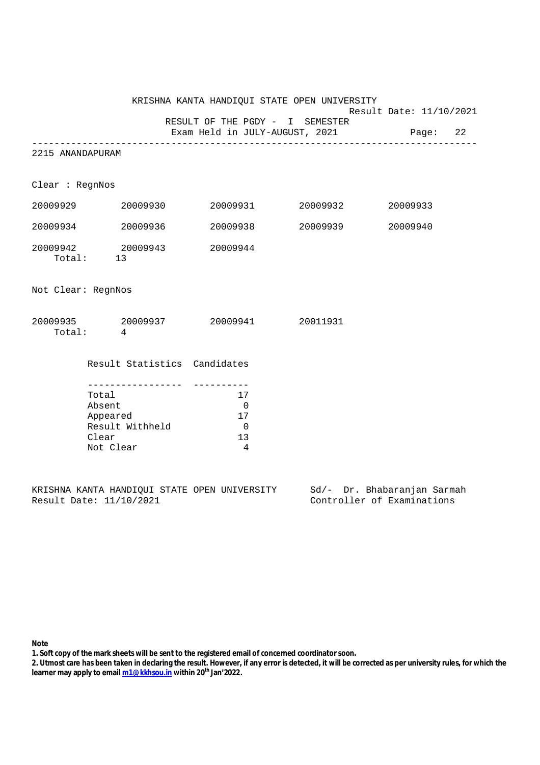|                    |                                                                                             |                                 | KRISHNA KANTA HANDIQUI STATE OPEN UNIVERSITY |                         |  |
|--------------------|---------------------------------------------------------------------------------------------|---------------------------------|----------------------------------------------|-------------------------|--|
|                    |                                                                                             | RESULT OF THE PGDY - I SEMESTER |                                              | Result Date: 11/10/2021 |  |
|                    |                                                                                             |                                 |                                              |                         |  |
| 2215 ANANDAPURAM   |                                                                                             |                                 |                                              |                         |  |
| Clear : RegnNos    |                                                                                             |                                 |                                              |                         |  |
|                    | 20009929 20009930                                                                           |                                 | 20009931 20009932                            | 20009933                |  |
|                    | 20009934 20009936                                                                           |                                 | 20009938 20009939                            | 20009940                |  |
|                    | 20009942 20009943 20009944<br>Total: 13                                                     |                                 |                                              |                         |  |
| Not Clear: RegnNos |                                                                                             |                                 |                                              |                         |  |
|                    | $20009935 \qquad \qquad 20009937 \qquad \qquad 20009941 \qquad \qquad 20011931$<br>Total: 4 |                                 |                                              |                         |  |
|                    | Result Statistics Candidates                                                                |                                 |                                              |                         |  |
|                    | Total                                                                                       | 17                              |                                              |                         |  |
|                    | Absent                                                                                      | $\overline{0}$                  |                                              |                         |  |
|                    | Appeared                                                                                    | 17                              |                                              |                         |  |
|                    | Result Withheld                                                                             | $\overline{0}$                  |                                              |                         |  |
|                    | Clear                                                                                       | 13                              |                                              |                         |  |
|                    | Not Clear                                                                                   | $\overline{4}$                  |                                              |                         |  |

|  |                         |  | KRISHNA KANTA HANDIOUI STATE OPEN UNIVERSITY |  |  | Sd/- Dr. Bhabaranjan Sarmah |  |
|--|-------------------------|--|----------------------------------------------|--|--|-----------------------------|--|
|  | Result Date: 11/10/2021 |  |                                              |  |  | Controller of Examinations  |  |

**Note** 

**1. Soft copy of the mark sheets will be sent to the registered email of concerned coordinator soon.**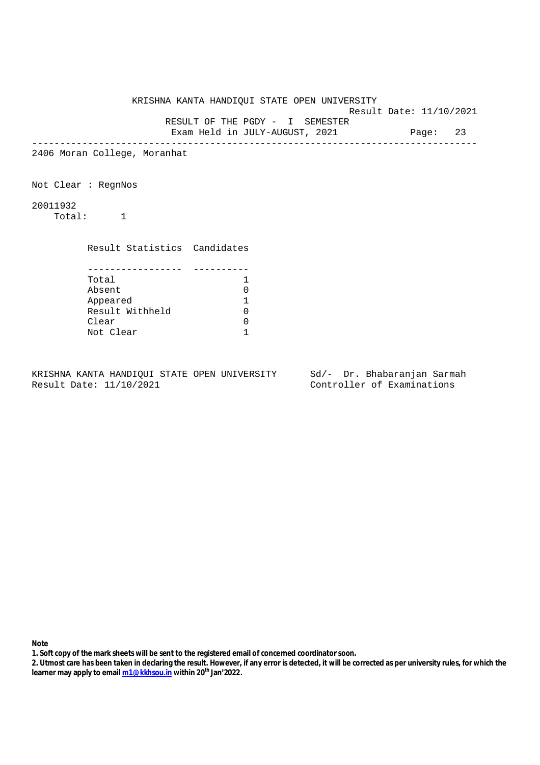|          |                              | KRISHNA KANTA HANDIQUI STATE OPEN UNIVERSITY |  |
|----------|------------------------------|----------------------------------------------|--|
|          |                              | Result Date: 11/10/2021                      |  |
|          |                              | RESULT OF THE PGDY - I SEMESTER              |  |
|          |                              | Exam Held in JULY-AUGUST, 2021 Page: 23      |  |
|          | 2406 Moran College, Moranhat |                                              |  |
|          | Not Clear: RegnNos           |                                              |  |
| 20011932 | Total: 1                     |                                              |  |
|          | Result Statistics Candidates |                                              |  |
|          | Total                        | 1                                            |  |
|          | Absent                       | 0                                            |  |
|          | Appeared                     | 1                                            |  |
|          | Result Withheld              | 0                                            |  |
|          | Clear                        | 0                                            |  |
|          | Not Clear                    |                                              |  |
|          |                              |                                              |  |

KRISHNA KANTA HANDIQUI STATE OPEN UNIVERSITY Sd/- Dr. Bhabaranjan Sarmah<br>Result Date: 11/10/2021 Controller of Examinations

Controller of Examinations

- **1. Soft copy of the mark sheets will be sent to the registered email of concerned coordinator soon.**
- **2. Utmost care has been taken in declaring the result. However, if any error is detected, it will be corrected as per university rules, for which the learner may apply to email m1@kkhsou.in within 20th Jan'2022.**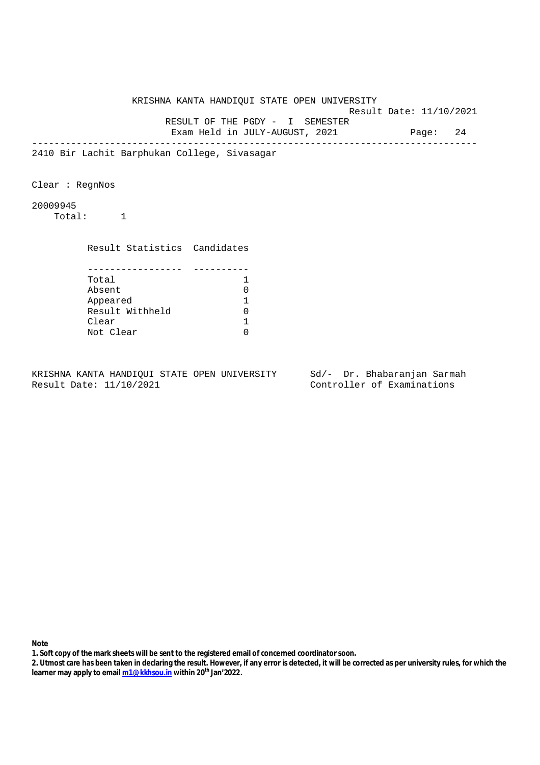KRISHNA KANTA HANDIQUI STATE OPEN UNIVERSITY Result Date: 11/10/2021 RESULT OF THE PGDY - I SEMESTER Exam Held in JULY-AUGUST, 2021 Page: 24 -------------------------------------------------------------------------------- 2410 Bir Lachit Barphukan College, Sivasagar Clear : RegnNos 20009945 Total: 1 Result Statistics Candidates ----------------- ---------- Total 1 Absent 0 Appeared 1 Result Withheld 0 Clear 1 Not Clear 0

KRISHNA KANTA HANDIQUI STATE OPEN UNIVERSITY Sd/- Dr. Bhabaranjan Sarmah Result Date: 11/10/2021 Controller of Examinations

- **1. Soft copy of the mark sheets will be sent to the registered email of concerned coordinator soon.**
- **2. Utmost care has been taken in declaring the result. However, if any error is detected, it will be corrected as per university rules, for which the learner may apply to email m1@kkhsou.in within 20th Jan'2022.**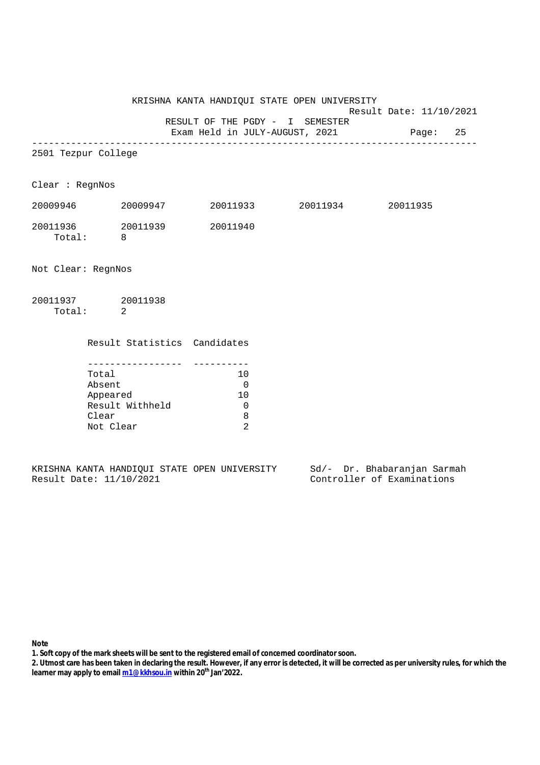Result Date: 11/10/2021

RESULT OF THE PGDY - I SEMESTER

Exam Held in JULY-AUGUST, 2021 Page: 25 --------------------------------------------------------------------------------

2501 Tezpur College

Clear : RegnNos

| 20009946 | 20009947 | 20011933 | 20011934 | 20011935 |
|----------|----------|----------|----------|----------|
| 20011936 | 20011939 | 20011940 |          |          |
| Total:   |          |          |          |          |

Not Clear: RegnNos

| 20011937 | 20011938 |
|----------|----------|
| Total:   |          |

| Result Statistics Candidates |    |
|------------------------------|----|
|                              |    |
|                              |    |
| Total                        | 10 |
| Absent                       |    |
| Appeared                     | 10 |
| Result Withheld              |    |
| Clear                        | 8  |
| Not Clear                    |    |

|  |                         |  | KRISHNA KANTA HANDIOUI STATE OPEN UNIVERSITY |  |  | Sd/- Dr. Bhabaranjan Sarmah |  |
|--|-------------------------|--|----------------------------------------------|--|--|-----------------------------|--|
|  | Result Date: 11/10/2021 |  |                                              |  |  | Controller of Examinations  |  |

**Note** 

**1. Soft copy of the mark sheets will be sent to the registered email of concerned coordinator soon.**